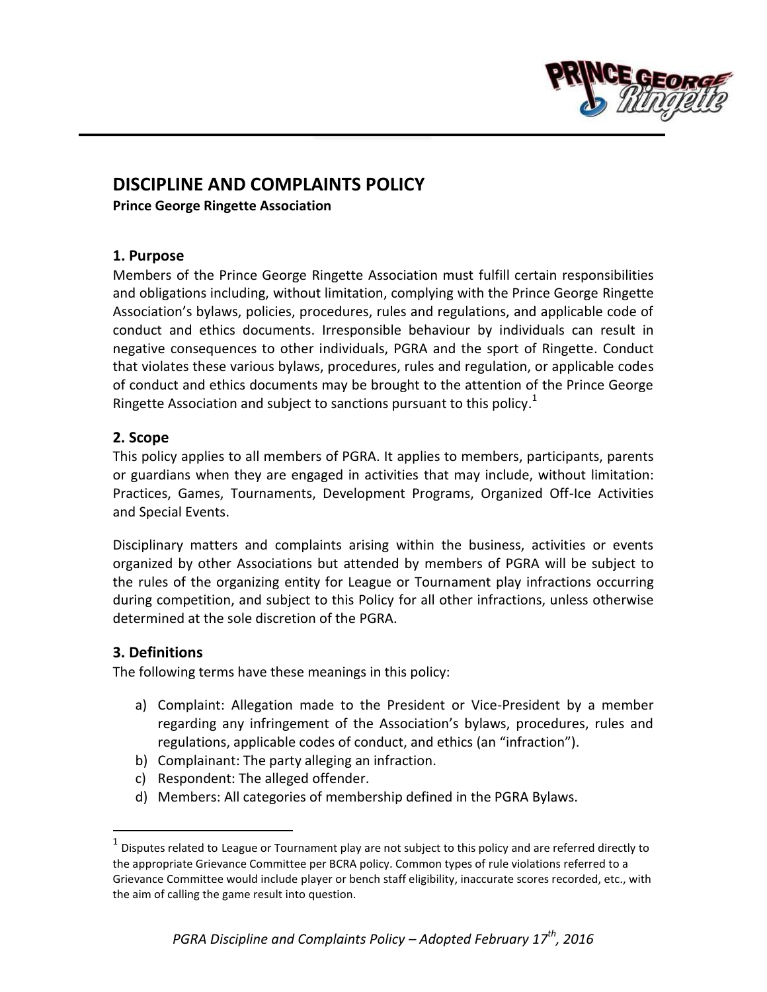

# **DISCIPLINE AND COMPLAINTS POLICY**

**Prince George Ringette Association**

#### **1. Purpose**

Members of the Prince George Ringette Association must fulfill certain responsibilities and obligations including, without limitation, complying with the Prince George Ringette Association's bylaws, policies, procedures, rules and regulations, and applicable code of conduct and ethics documents. Irresponsible behaviour by individuals can result in negative consequences to other individuals, PGRA and the sport of Ringette. Conduct that violates these various bylaws, procedures, rules and regulation, or applicable codes of conduct and ethics documents may be brought to the attention of the Prince George Ringette Association and subject to sanctions pursuant to this policy.<sup>1</sup>

## **2. Scope**

This policy applies to all members of PGRA. It applies to members, participants, parents or guardians when they are engaged in activities that may include, without limitation: Practices, Games, Tournaments, Development Programs, Organized Off-Ice Activities and Special Events.

Disciplinary matters and complaints arising within the business, activities or events organized by other Associations but attended by members of PGRA will be subject to the rules of the organizing entity for League or Tournament play infractions occurring during competition, and subject to this Policy for all other infractions, unless otherwise determined at the sole discretion of the PGRA.

## **3. Definitions**

 $\overline{a}$ 

The following terms have these meanings in this policy:

- a) Complaint: Allegation made to the President or Vice-President by a member regarding any infringement of the Association's bylaws, procedures, rules and regulations, applicable codes of conduct, and ethics (an "infraction").
- b) Complainant: The party alleging an infraction.
- c) Respondent: The alleged offender.
- d) Members: All categories of membership defined in the PGRA Bylaws.

 $^{\text{1}}$  Disputes related to League or Tournament play are not subject to this policy and are referred directly to the appropriate Grievance Committee per BCRA policy. Common types of rule violations referred to a Grievance Committee would include player or bench staff eligibility, inaccurate scores recorded, etc., with the aim of calling the game result into question.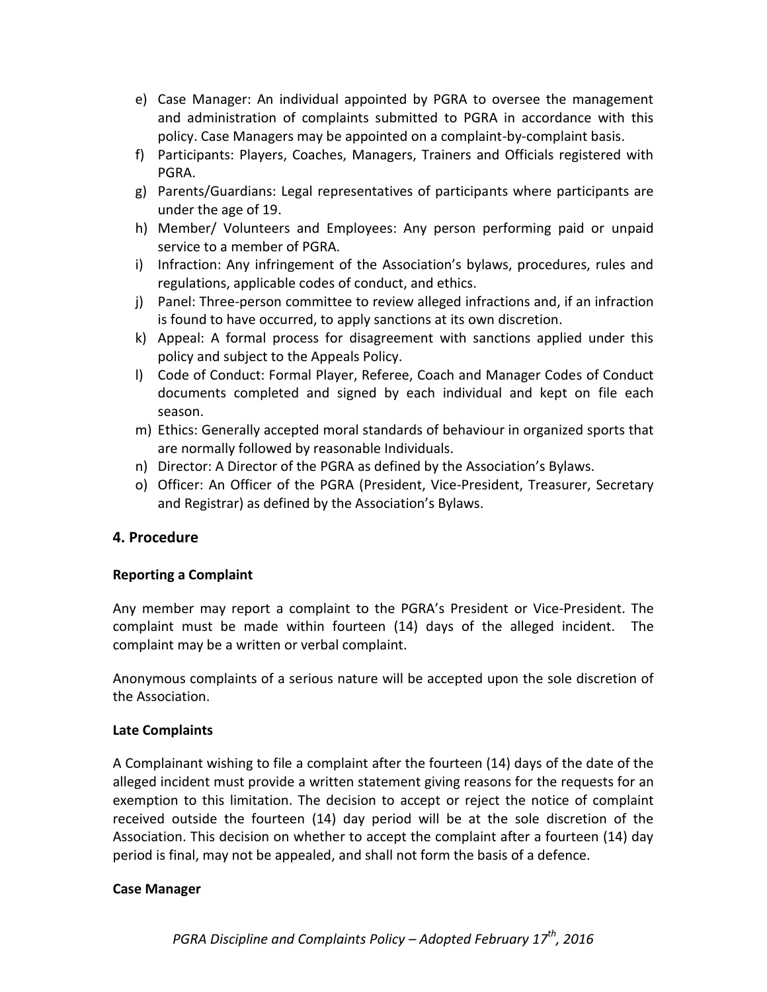- e) Case Manager: An individual appointed by PGRA to oversee the management and administration of complaints submitted to PGRA in accordance with this policy. Case Managers may be appointed on a complaint-by-complaint basis.
- f) Participants: Players, Coaches, Managers, Trainers and Officials registered with PGRA.
- g) Parents/Guardians: Legal representatives of participants where participants are under the age of 19.
- h) Member/ Volunteers and Employees: Any person performing paid or unpaid service to a member of PGRA.
- i) Infraction: Any infringement of the Association's bylaws, procedures, rules and regulations, applicable codes of conduct, and ethics.
- j) Panel: Three-person committee to review alleged infractions and, if an infraction is found to have occurred, to apply sanctions at its own discretion.
- k) Appeal: A formal process for disagreement with sanctions applied under this policy and subject to the Appeals Policy.
- l) Code of Conduct: Formal Player, Referee, Coach and Manager Codes of Conduct documents completed and signed by each individual and kept on file each season.
- m) Ethics: Generally accepted moral standards of behaviour in organized sports that are normally followed by reasonable Individuals.
- n) Director: A Director of the PGRA as defined by the Association's Bylaws.
- o) Officer: An Officer of the PGRA (President, Vice-President, Treasurer, Secretary and Registrar) as defined by the Association's Bylaws.

# **4. Procedure**

## **Reporting a Complaint**

Any member may report a complaint to the PGRA's President or Vice-President. The complaint must be made within fourteen (14) days of the alleged incident. The complaint may be a written or verbal complaint.

Anonymous complaints of a serious nature will be accepted upon the sole discretion of the Association.

## **Late Complaints**

A Complainant wishing to file a complaint after the fourteen (14) days of the date of the alleged incident must provide a written statement giving reasons for the requests for an exemption to this limitation. The decision to accept or reject the notice of complaint received outside the fourteen (14) day period will be at the sole discretion of the Association. This decision on whether to accept the complaint after a fourteen (14) day period is final, may not be appealed, and shall not form the basis of a defence.

## **Case Manager**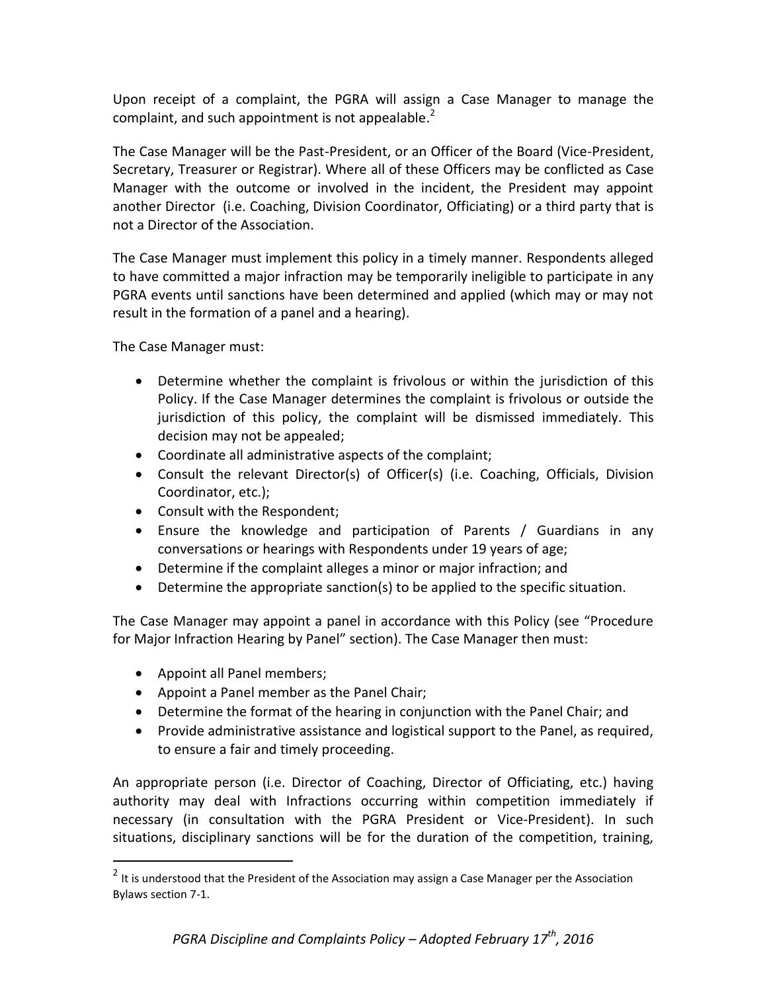Upon receipt of a complaint, the PGRA will assign a Case Manager to manage the complaint, and such appointment is not appealable.<sup>2</sup>

The Case Manager will be the Past-President, or an Officer of the Board (Vice-President, Secretary, Treasurer or Registrar). Where all of these Officers may be conflicted as Case Manager with the outcome or involved in the incident, the President may appoint another Director (i.e. Coaching, Division Coordinator, Officiating) or a third party that is not a Director of the Association.

The Case Manager must implement this policy in a timely manner. Respondents alleged to have committed a major infraction may be temporarily ineligible to participate in any PGRA events until sanctions have been determined and applied (which may or may not result in the formation of a panel and a hearing).

The Case Manager must:

- Determine whether the complaint is frivolous or within the jurisdiction of this Policy. If the Case Manager determines the complaint is frivolous or outside the jurisdiction of this policy, the complaint will be dismissed immediately. This decision may not be appealed;
- Coordinate all administrative aspects of the complaint;
- Consult the relevant Director(s) of Officer(s) (i.e. Coaching, Officials, Division Coordinator, etc.);
- Consult with the Respondent;
- Ensure the knowledge and participation of Parents / Guardians in any conversations or hearings with Respondents under 19 years of age;
- Determine if the complaint alleges a minor or major infraction; and
- Determine the appropriate sanction(s) to be applied to the specific situation.

The Case Manager may appoint a panel in accordance with this Policy (see "Procedure for Major Infraction Hearing by Panel" section). The Case Manager then must:

• Appoint all Panel members;

 $\overline{a}$ 

- Appoint a Panel member as the Panel Chair;
- Determine the format of the hearing in conjunction with the Panel Chair; and
- Provide administrative assistance and logistical support to the Panel, as required, to ensure a fair and timely proceeding.

An appropriate person (i.e. Director of Coaching, Director of Officiating, etc.) having authority may deal with Infractions occurring within competition immediately if necessary (in consultation with the PGRA President or Vice-President). In such situations, disciplinary sanctions will be for the duration of the competition, training,

 $2$  It is understood that the President of the Association may assign a Case Manager per the Association Bylaws section 7-1.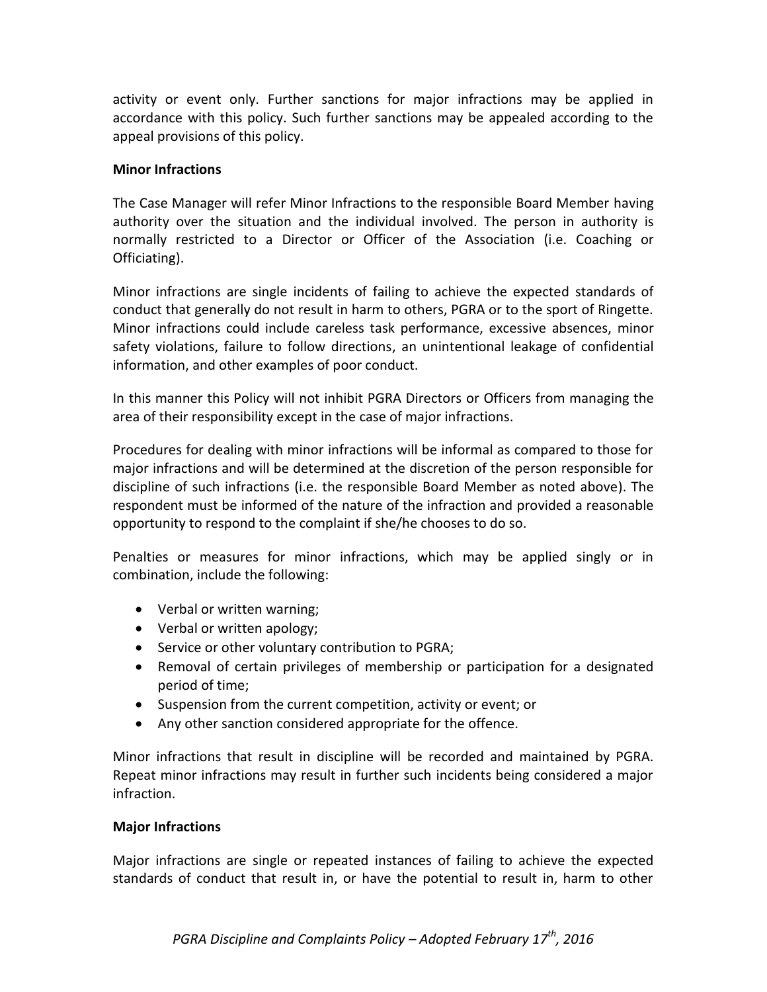activity or event only. Further sanctions for major infractions may be applied in accordance with this policy. Such further sanctions may be appealed according to the appeal provisions of this policy.

#### **Minor Infractions**

The Case Manager will refer Minor Infractions to the responsible Board Member having authority over the situation and the individual involved. The person in authority is normally restricted to a Director or Officer of the Association (i.e. Coaching or Officiating).

Minor infractions are single incidents of failing to achieve the expected standards of conduct that generally do not result in harm to others, PGRA or to the sport of Ringette. Minor infractions could include careless task performance, excessive absences, minor safety violations, failure to follow directions, an unintentional leakage of confidential information, and other examples of poor conduct.

In this manner this Policy will not inhibit PGRA Directors or Officers from managing the area of their responsibility except in the case of major infractions.

Procedures for dealing with minor infractions will be informal as compared to those for major infractions and will be determined at the discretion of the person responsible for discipline of such infractions (i.e. the responsible Board Member as noted above). The respondent must be informed of the nature of the infraction and provided a reasonable opportunity to respond to the complaint if she/he chooses to do so.

Penalties or measures for minor infractions, which may be applied singly or in combination, include the following:

- Verbal or written warning;
- Verbal or written apology;
- Service or other voluntary contribution to PGRA;
- Removal of certain privileges of membership or participation for a designated period of time;
- Suspension from the current competition, activity or event; or
- Any other sanction considered appropriate for the offence.

Minor infractions that result in discipline will be recorded and maintained by PGRA. Repeat minor infractions may result in further such incidents being considered a major infraction.

## **Major Infractions**

Major infractions are single or repeated instances of failing to achieve the expected standards of conduct that result in, or have the potential to result in, harm to other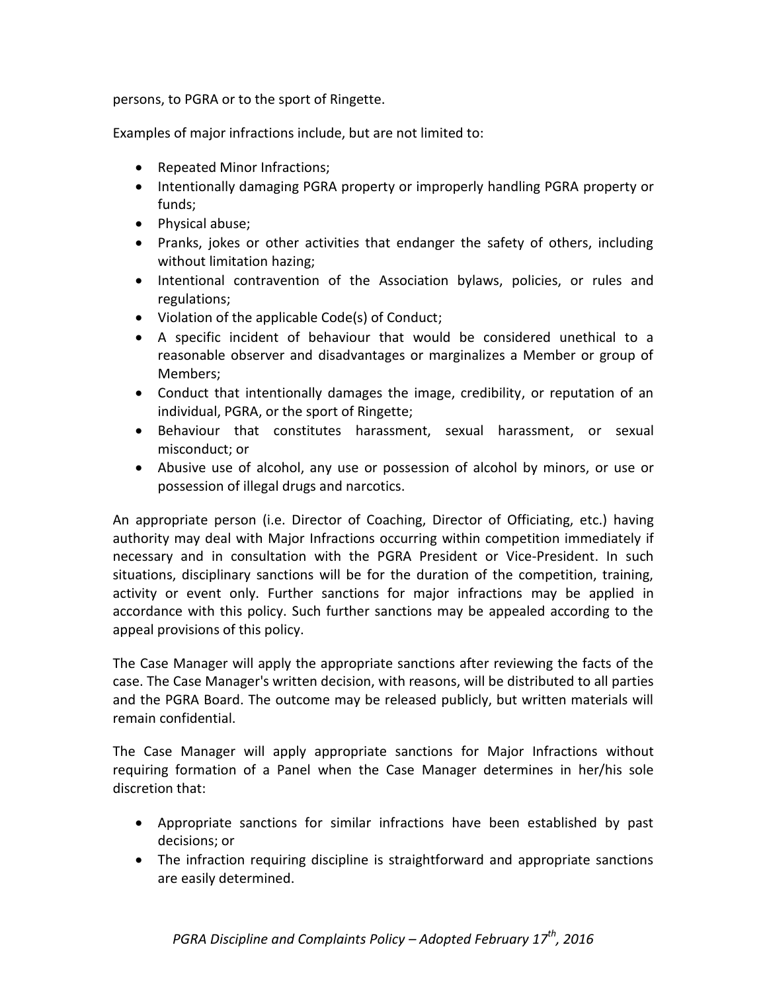persons, to PGRA or to the sport of Ringette.

Examples of major infractions include, but are not limited to:

- Repeated Minor Infractions;
- Intentionally damaging PGRA property or improperly handling PGRA property or funds;
- Physical abuse;
- Pranks, jokes or other activities that endanger the safety of others, including without limitation hazing;
- Intentional contravention of the Association bylaws, policies, or rules and regulations;
- Violation of the applicable Code(s) of Conduct;
- A specific incident of behaviour that would be considered unethical to a reasonable observer and disadvantages or marginalizes a Member or group of Members;
- Conduct that intentionally damages the image, credibility, or reputation of an individual, PGRA, or the sport of Ringette;
- Behaviour that constitutes harassment, sexual harassment, or sexual misconduct; or
- Abusive use of alcohol, any use or possession of alcohol by minors, or use or possession of illegal drugs and narcotics.

An appropriate person (i.e. Director of Coaching, Director of Officiating, etc.) having authority may deal with Major Infractions occurring within competition immediately if necessary and in consultation with the PGRA President or Vice-President. In such situations, disciplinary sanctions will be for the duration of the competition, training, activity or event only. Further sanctions for major infractions may be applied in accordance with this policy. Such further sanctions may be appealed according to the appeal provisions of this policy.

The Case Manager will apply the appropriate sanctions after reviewing the facts of the case. The Case Manager's written decision, with reasons, will be distributed to all parties and the PGRA Board. The outcome may be released publicly, but written materials will remain confidential.

The Case Manager will apply appropriate sanctions for Major Infractions without requiring formation of a Panel when the Case Manager determines in her/his sole discretion that:

- Appropriate sanctions for similar infractions have been established by past decisions; or
- The infraction requiring discipline is straightforward and appropriate sanctions are easily determined.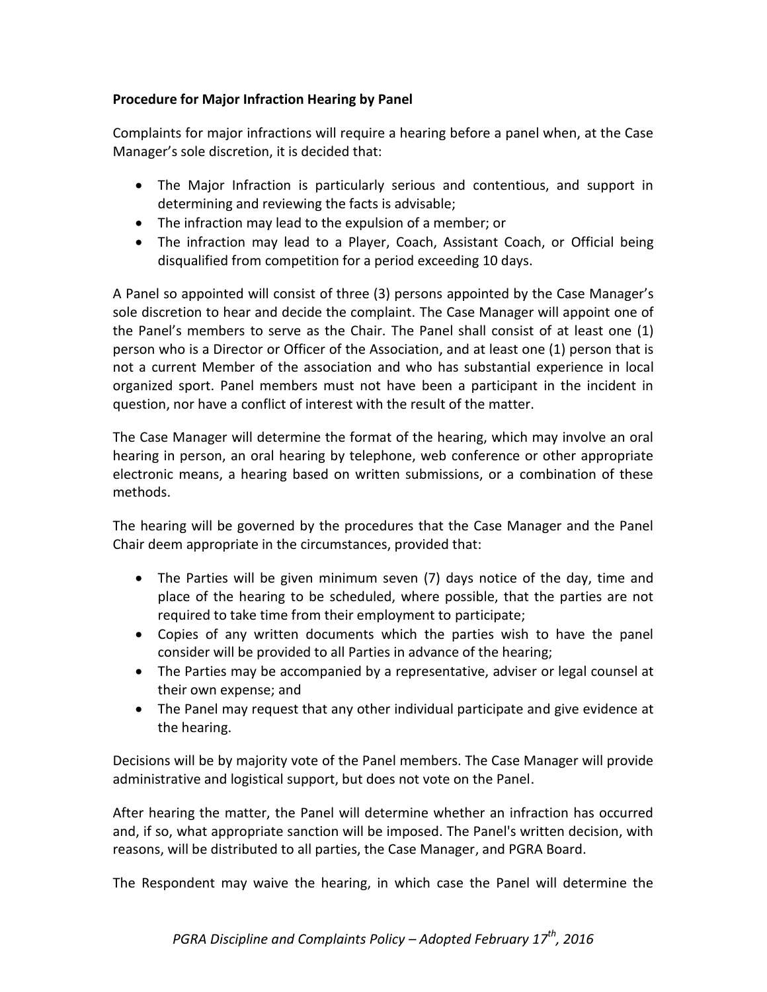## **Procedure for Major Infraction Hearing by Panel**

Complaints for major infractions will require a hearing before a panel when, at the Case Manager's sole discretion, it is decided that:

- The Major Infraction is particularly serious and contentious, and support in determining and reviewing the facts is advisable;
- The infraction may lead to the expulsion of a member; or
- The infraction may lead to a Player, Coach, Assistant Coach, or Official being disqualified from competition for a period exceeding 10 days.

A Panel so appointed will consist of three (3) persons appointed by the Case Manager's sole discretion to hear and decide the complaint. The Case Manager will appoint one of the Panel's members to serve as the Chair. The Panel shall consist of at least one (1) person who is a Director or Officer of the Association, and at least one (1) person that is not a current Member of the association and who has substantial experience in local organized sport. Panel members must not have been a participant in the incident in question, nor have a conflict of interest with the result of the matter.

The Case Manager will determine the format of the hearing, which may involve an oral hearing in person, an oral hearing by telephone, web conference or other appropriate electronic means, a hearing based on written submissions, or a combination of these methods.

The hearing will be governed by the procedures that the Case Manager and the Panel Chair deem appropriate in the circumstances, provided that:

- The Parties will be given minimum seven (7) days notice of the day, time and place of the hearing to be scheduled, where possible, that the parties are not required to take time from their employment to participate;
- Copies of any written documents which the parties wish to have the panel consider will be provided to all Parties in advance of the hearing;
- The Parties may be accompanied by a representative, adviser or legal counsel at their own expense; and
- The Panel may request that any other individual participate and give evidence at the hearing.

Decisions will be by majority vote of the Panel members. The Case Manager will provide administrative and logistical support, but does not vote on the Panel.

After hearing the matter, the Panel will determine whether an infraction has occurred and, if so, what appropriate sanction will be imposed. The Panel's written decision, with reasons, will be distributed to all parties, the Case Manager, and PGRA Board.

The Respondent may waive the hearing, in which case the Panel will determine the